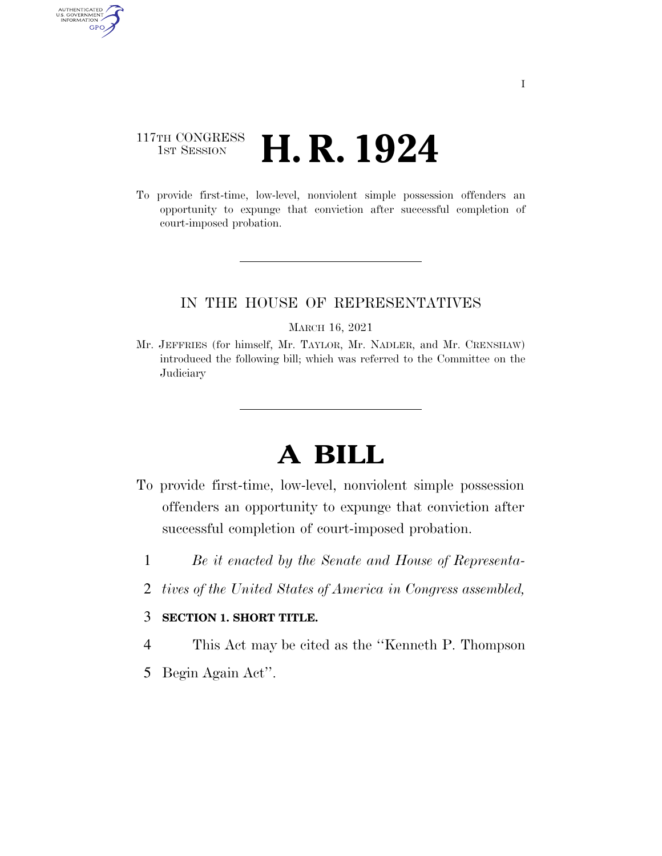### 117TH CONGRESS **1st Session H. R. 1924**

AUTHENTICATED<br>U.S. GOVERNMENT<br>INFORMATION GPO

> To provide first-time, low-level, nonviolent simple possession offenders an opportunity to expunge that conviction after successful completion of court-imposed probation.

### IN THE HOUSE OF REPRESENTATIVES

#### MARCH 16, 2021

Mr. JEFFRIES (for himself, Mr. TAYLOR, Mr. NADLER, and Mr. CRENSHAW) introduced the following bill; which was referred to the Committee on the **Judiciary** 

# **A BILL**

- To provide first-time, low-level, nonviolent simple possession offenders an opportunity to expunge that conviction after successful completion of court-imposed probation.
	- 1 *Be it enacted by the Senate and House of Representa-*
	- 2 *tives of the United States of America in Congress assembled,*

#### 3 **SECTION 1. SHORT TITLE.**

- 4 This Act may be cited as the ''Kenneth P. Thompson
- 5 Begin Again Act''.